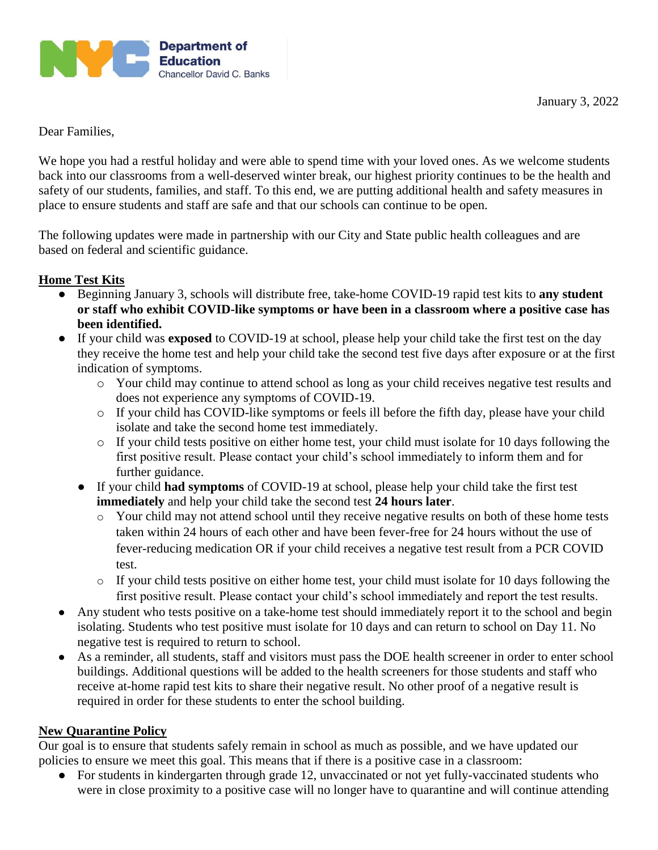

Dear Families,

We hope you had a restful holiday and were able to spend time with your loved ones. As we welcome students back into our classrooms from a well-deserved winter break, our highest priority continues to be the health and safety of our students, families, and staff. To this end, we are putting additional health and safety measures in place to ensure students and staff are safe and that our schools can continue to be open.

The following updates were made in partnership with our City and State public health colleagues and are based on federal and scientific guidance.

# **Home Test Kits**

- Beginning January 3, schools will distribute free, take-home COVID-19 rapid test kits to **any student or staff who exhibit COVID-like symptoms or have been in a classroom where a positive case has been identified.**
- If your child was **exposed** to COVID-19 at school, please help your child take the first test on the day they receive the home test and help your child take the second test five days after exposure or at the first indication of symptoms.
	- o Your child may continue to attend school as long as your child receives negative test results and does not experience any symptoms of COVID-19.
	- o If your child has COVID-like symptoms or feels ill before the fifth day, please have your child isolate and take the second home test immediately.
	- o If your child tests positive on either home test, your child must isolate for 10 days following the first positive result. Please contact your child's school immediately to inform them and for further guidance.
	- If your child **had symptoms** of COVID-19 at school, please help your child take the first test **immediately** and help your child take the second test **24 hours later**.
		- o Your child may not attend school until they receive negative results on both of these home tests taken within 24 hours of each other and have been fever-free for 24 hours without the use of fever-reducing medication OR if your child receives a negative test result from a PCR COVID test.
		- o If your child tests positive on either home test, your child must isolate for 10 days following the first positive result. Please contact your child's school immediately and report the test results.
- Any student who tests positive on a take-home test should immediately report it to the school and begin isolating. Students who test positive must isolate for 10 days and can return to school on Day 11. No negative test is required to return to school.
- As a reminder, all students, staff and visitors must pass the DOE health screener in order to enter school buildings. Additional questions will be added to the health screeners for those students and staff who receive at-home rapid test kits to share their negative result. No other proof of a negative result is required in order for these students to enter the school building.

## **New Quarantine Policy**

Our goal is to ensure that students safely remain in school as much as possible, and we have updated our policies to ensure we meet this goal. This means that if there is a positive case in a classroom:

• For students in kindergarten through grade 12, unvaccinated or not yet fully-vaccinated students who were in close proximity to a positive case will no longer have to quarantine and will continue attending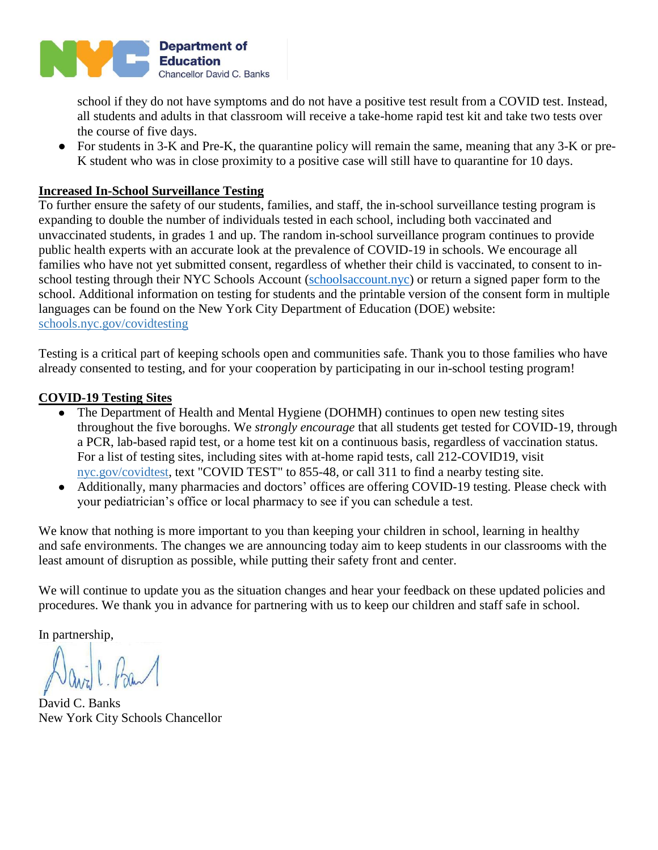

school if they do not have symptoms and do not have a positive test result from a COVID test. Instead, all students and adults in that classroom will receive a take-home rapid test kit and take two tests over the course of five days.

● For students in 3-K and Pre-K, the quarantine policy will remain the same, meaning that any 3-K or pre-K student who was in close proximity to a positive case will still have to quarantine for 10 days.

### **Increased In-School Surveillance Testing**

To further ensure the safety of our students, families, and staff, the in-school surveillance testing program is expanding to double the number of individuals tested in each school, including both vaccinated and unvaccinated students, in grades 1 and up. The random in-school surveillance program continues to provide public health experts with an accurate look at the prevalence of COVID-19 in schools. We encourage all families who have not yet submitted consent, regardless of whether their child is vaccinated, to consent to inschool testing through their NYC Schools Account (schools account.nyc) or return a signed paper form to the school. Additional information on testing for students and the printable version of the consent form in multiple languages can be found on the New York City Department of Education (DOE) website: [schools.nyc.gov/covidtesting](https://www.schools.nyc.gov/school-life/health-and-wellness/covid-information/covid-19-testing-for-students)

Testing is a critical part of keeping schools open and communities safe. Thank you to those families who have already consented to testing, and for your cooperation by participating in our in-school testing program!

#### **COVID-19 Testing Sites**

- The Department of Health and Mental Hygiene (DOHMH) continues to open new testing sites throughout the five boroughs. We *strongly encourage* that all students get tested for COVID-19, through a PCR, lab-based rapid test, or a home test kit on a continuous basis, regardless of vaccination status. For a list of testing sites, including sites with at-home rapid tests, call 212-COVID19, visit [nyc.gov/covidtest,](http://nyc.gov/covidtest) text "COVID TEST" to 855-48, or call 311 to find a nearby testing site.
- Additionally, many pharmacies and doctors' offices are offering COVID-19 testing. Please check with your pediatrician's office or local pharmacy to see if you can schedule a test.

We know that nothing is more important to you than keeping your children in school, learning in healthy and safe environments. The changes we are announcing today aim to keep students in our classrooms with the least amount of disruption as possible, while putting their safety front and center.

We will continue to update you as the situation changes and hear your feedback on these updated policies and procedures. We thank you in advance for partnering with us to keep our children and staff safe in school.

In partnership,

David C. Banks New York City Schools Chancellor